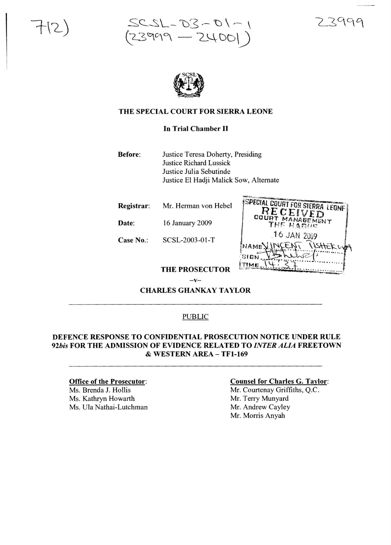



#### THE SPECIAL COURT FOR SIERRA LEONE

In Trial Chamber II

Before: Justice Teresa Doherty, Presiding Justice Richard Lussick Justice Julia Sebutinde Justice EI Hadji Malick Sow, Alternate

Registrar: Mr. Herman von Hebel

Date: 16 January 2009

Case No.: SCSL-2003-01-T

| ispecial court for sierra leone i       |
|-----------------------------------------|
|                                         |
| RECEIVED                                |
| COURT MANABEMENT                        |
| THE HARINE                              |
|                                         |
| 16 JAN 2009                             |
| INCENT<br>11sttEk u<br>NAME <sup></sup> |
|                                         |
| SIGN                                    |
|                                         |
|                                         |
|                                         |

THE PROSECUTOR  $-v-$ 

CHARLES GHANKAY TAYLOR

#### PUBLIC

#### DEFENCE RESPONSE TO CONFIDENTIAL PROSECUTION NOTICE UNDER RULE *92bis* FOR THE ADMISSION OF EVIDENCE RELATED TO *INTER ALIA* FREETOWN & WESTERN AREA-TFl-169

#### Office of the Prosecutor:

Ms. Brenda J. Hollis Ms. Kathryn Howarth Ms. Ula Nathai-Lutchman

#### Counsel for Charles G. Taylor:

Mr. Courtenay Griffiths, Q.C. Mr. Terry Munyard Mr. Andrew Cayley Mr. Morris Anyah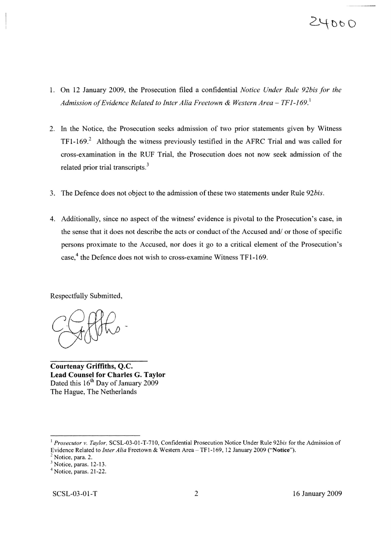# $24000$

- 1. On 12 January 2009, the Prosecution filed a confidential *Notice Under Rule 92bis for the Admission ofEvidence Related to Inter Alia Freetown* & *Western Area* - *TF1-169.\*
- 2. In the Notice, the Prosecution seeks admission of two prior statements given by Witness  $TF1-169<sup>2</sup>$  Although the witness previously testified in the AFRC Trial and was called for cross-examination in the RUF Trial, the Prosecution does not now seek admission of the related prior trial transcripts.<sup>3</sup>
- 3. The Defence does not object to the admission of these two statements under Rule 92bis.
- 4. Additionally, since no aspect of the witness' evidence is pivotal to the Prosecution's case, in the sense that it does not describe the acts or conduct of the Accused and/ or those of specific persons proximate to the Accused, nor does it go to a critical element of the Prosecution's case,<sup>4</sup> the Defence does not wish to cross-examine Witness TF1-169.

Respectfully Submitted,

**Courtenay Griffiths,** Q.c. **Lead Counsel for Charles G. Taylor** Dated this  $16<sup>th</sup>$  Day of January 2009 The Hague, The Netherlands

<sup>&</sup>lt;sup>1</sup> Prosecutor v. Taylor, SCSL-03-01-T-710, Confidential Prosecution Notice Under Rule 92bis for the Admission of Evidence Related to *Inter Alia* Freetown & Western Area - TF1-169, 12 January 2009 ("Notice").

Notice, para. 2.

<sup>&</sup>lt;sup>3</sup> Notice, paras. 12-13.

<sup>4</sup> Notice, paras. 21-22.